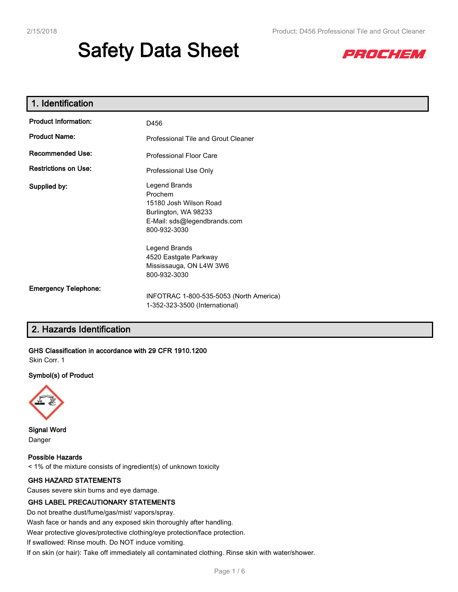# **Safety Data Sheet**



| 1. Identification           |                                                                                                                            |  |  |
|-----------------------------|----------------------------------------------------------------------------------------------------------------------------|--|--|
| <b>Product Information:</b> | D456                                                                                                                       |  |  |
| <b>Product Name:</b>        | Professional Tile and Grout Cleaner                                                                                        |  |  |
| <b>Recommended Use:</b>     | <b>Professional Floor Care</b>                                                                                             |  |  |
| <b>Restrictions on Use:</b> | Professional Use Only                                                                                                      |  |  |
| Supplied by:                | Legend Brands<br>Prochem<br>15180 Josh Wilson Road<br>Burlington, WA 98233<br>E-Mail: sds@legendbrands.com<br>800-932-3030 |  |  |
|                             | Legend Brands<br>4520 Eastgate Parkway<br>Mississauga, ON L4W 3W6<br>800-932-3030                                          |  |  |
| <b>Emergency Telephone:</b> | INFOTRAC 1-800-535-5053 (North America)<br>1-352-323-3500 (International)                                                  |  |  |

# **2. Hazards Identification**

**GHS Classification in accordance with 29 CFR 1910.1200**

Skin Corr. 1

## **Symbol(s) of Product**



**Signal Word** Danger

**Possible Hazards** < 1% of the mixture consists of ingredient(s) of unknown toxicity

## **GHS HAZARD STATEMENTS**

Causes severe skin burns and eye damage.

## **GHS LABEL PRECAUTIONARY STATEMENTS**

Do not breathe dust/fume/gas/mist/ vapors/spray.

Wash face or hands and any exposed skin thoroughly after handling.

Wear protective gloves/protective clothing/eye protection/face protection.

If swallowed: Rinse mouth. Do NOT induce vomiting.

If on skin (or hair): Take off immediately all contaminated clothing. Rinse skin with water/shower.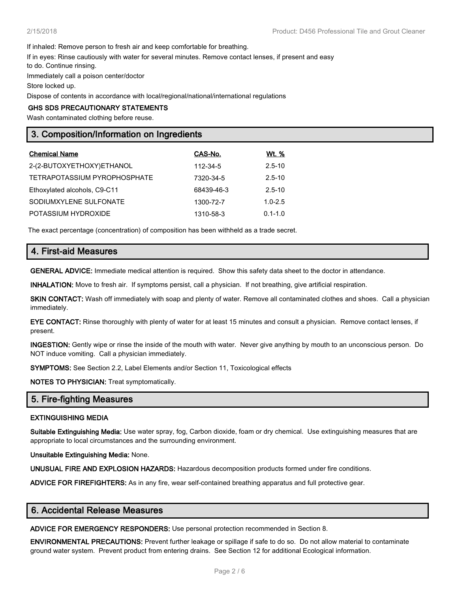If inhaled: Remove person to fresh air and keep comfortable for breathing.

If in eyes: Rinse cautiously with water for several minutes. Remove contact lenses, if present and easy

to do. Continue rinsing.

Immediately call a poison center/doctor

Store locked up.

Dispose of contents in accordance with local/regional/national/international regulations

#### **GHS SDS PRECAUTIONARY STATEMENTS**

Wash contaminated clothing before reuse.

# **3. Composition/Information on Ingredients**

| <b>Chemical Name</b>         | CAS-No.    | Wt. %       |
|------------------------------|------------|-------------|
| 2-(2-BUTOXYETHOXY)ETHANOL    | 112-34-5   | $2.5 - 10$  |
| TETRAPOTASSIUM PYROPHOSPHATE | 7320-34-5  | $2.5 - 10$  |
| Ethoxylated alcohols, C9-C11 | 68439-46-3 | $2.5 - 10$  |
| SODIUMXYLENE SULFONATE       | 1300-72-7  | $1.0 - 2.5$ |
| POTASSIUM HYDROXIDE          | 1310-58-3  | $0.1 - 1.0$ |

The exact percentage (concentration) of composition has been withheld as a trade secret.

# **4. First-aid Measures**

**GENERAL ADVICE:** Immediate medical attention is required. Show this safety data sheet to the doctor in attendance.

**INHALATION:** Move to fresh air. If symptoms persist, call a physician. If not breathing, give artificial respiration.

**SKIN CONTACT:** Wash off immediately with soap and plenty of water. Remove all contaminated clothes and shoes. Call a physician immediately.

**EYE CONTACT:** Rinse thoroughly with plenty of water for at least 15 minutes and consult a physician. Remove contact lenses, if present.

**INGESTION:** Gently wipe or rinse the inside of the mouth with water. Never give anything by mouth to an unconscious person. Do NOT induce vomiting. Call a physician immediately.

**SYMPTOMS:** See Section 2.2, Label Elements and/or Section 11, Toxicological effects

**NOTES TO PHYSICIAN:** Treat symptomatically.

## **5. Fire-fighting Measures**

## **EXTINGUISHING MEDIA**

**Suitable Extinguishing Media:** Use water spray, fog, Carbon dioxide, foam or dry chemical. Use extinguishing measures that are appropriate to local circumstances and the surrounding environment.

**Unsuitable Extinguishing Media:** None.

**UNUSUAL FIRE AND EXPLOSION HAZARDS:** Hazardous decomposition products formed under fire conditions.

**ADVICE FOR FIREFIGHTERS:** As in any fire, wear self-contained breathing apparatus and full protective gear.

# **6. Accidental Release Measures**

**ADVICE FOR EMERGENCY RESPONDERS:** Use personal protection recommended in Section 8.

**ENVIRONMENTAL PRECAUTIONS:** Prevent further leakage or spillage if safe to do so. Do not allow material to contaminate ground water system. Prevent product from entering drains. See Section 12 for additional Ecological information.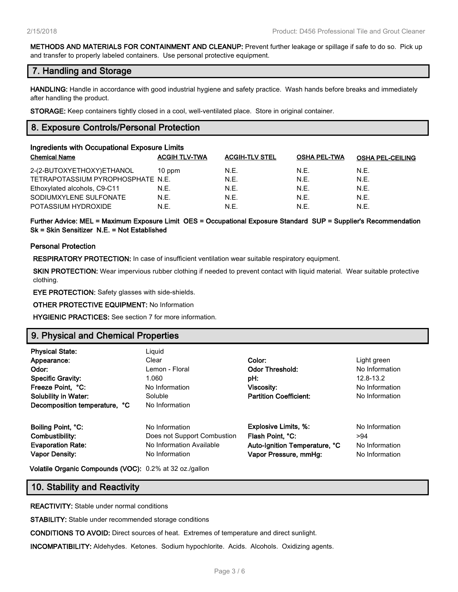**METHODS AND MATERIALS FOR CONTAINMENT AND CLEANUP:** Prevent further leakage or spillage if safe to do so. Pick up and transfer to properly labeled containers. Use personal protective equipment.

# **7. Handling and Storage**

**HANDLING:** Handle in accordance with good industrial hygiene and safety practice. Wash hands before breaks and immediately after handling the product.

**STORAGE:** Keep containers tightly closed in a cool, well-ventilated place. Store in original container.

# **8. Exposure Controls/Personal Protection**

| Ingredients with Occupational Exposure Limits |                      |                       |                     |                         |  |
|-----------------------------------------------|----------------------|-----------------------|---------------------|-------------------------|--|
| <b>Chemical Name</b>                          | <b>ACGIH TLV-TWA</b> | <b>ACGIH-TLV STEL</b> | <b>OSHA PEL-TWA</b> | <b>OSHA PEL-CEILING</b> |  |
| 2-(2-BUTOXYETHOXY)ETHANOL                     | $10$ ppm             | N.E.                  | N.F.                | N.E.                    |  |
| TETRAPOTASSIUM PYROPHOSPHATE N.E.             |                      | N.E.                  | N.E.                | N.E.                    |  |
| Ethoxylated alcohols, C9-C11                  | N.E.                 | N.E.                  | N.E.                | N.E.                    |  |
| SODIUMXYLENE SULFONATE                        | N.E.                 | N.E.                  | N.E.                | N.E.                    |  |
| POTASSIUM HYDROXIDE                           | N.E.                 | N.E.                  | N.F.                | N.E.                    |  |

**Further Advice: MEL = Maximum Exposure Limit OES = Occupational Exposure Standard SUP = Supplier's Recommendation Sk = Skin Sensitizer N.E. = Not Established**

## **Personal Protection**

**RESPIRATORY PROTECTION:** In case of insufficient ventilation wear suitable respiratory equipment.

**SKIN PROTECTION:** Wear impervious rubber clothing if needed to prevent contact with liquid material. Wear suitable protective clothing.

**EYE PROTECTION:** Safety glasses with side-shields.

**OTHER PROTECTIVE EQUIPMENT:** No Information

**HYGIENIC PRACTICES:** See section 7 for more information.

# **9. Physical and Chemical Properties**

| <b>Physical State:</b><br>Appearance:<br>Odor:<br><b>Specific Gravity:</b><br>Freeze Point, °C:<br><b>Solubility in Water:</b> | Liguid<br>Clear<br>Lemon - Floral<br>1.060<br>No Information<br>Soluble                     | Color:<br><b>Odor Threshold:</b><br>pH:<br>Viscosity:<br><b>Partition Coefficient:</b>                    | Light green<br>No Information<br>12.8-13.2<br>No Information<br>No Information |
|--------------------------------------------------------------------------------------------------------------------------------|---------------------------------------------------------------------------------------------|-----------------------------------------------------------------------------------------------------------|--------------------------------------------------------------------------------|
| Decomposition temperature, °C                                                                                                  | No Information                                                                              |                                                                                                           |                                                                                |
| Boiling Point, °C:<br>Combustibility:<br><b>Evaporation Rate:</b><br><b>Vapor Density:</b>                                     | No Information<br>Does not Support Combustion<br>No Information Available<br>No Information | <b>Explosive Limits, %:</b><br>Flash Point, °C:<br>Auto-Ignition Temperature, °C<br>Vapor Pressure, mmHg: | No Information<br>>94<br>No Information<br>No Information                      |

**Volatile Organic Compounds (VOC):** 0.2% at 32 oz./gallon

# **10. Stability and Reactivity**

**REACTIVITY:** Stable under normal conditions

**STABILITY:** Stable under recommended storage conditions

**CONDITIONS TO AVOID:** Direct sources of heat. Extremes of temperature and direct sunlight.

**INCOMPATIBILITY:** Aldehydes. Ketones. Sodium hypochlorite. Acids. Alcohols. Oxidizing agents.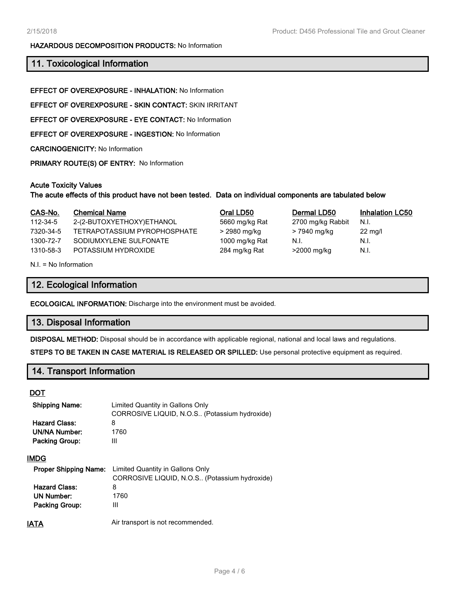#### **HAZARDOUS DECOMPOSITION PRODUCTS:** No Information

# **11. Toxicological Information**

**EFFECT OF OVEREXPOSURE - INHALATION:** No Information

**EFFECT OF OVEREXPOSURE - SKIN CONTACT:** SKIN IRRITANT

**EFFECT OF OVEREXPOSURE - EYE CONTACT:** No Information

**EFFECT OF OVEREXPOSURE - INGESTION:** No Information

**CARCINOGENICITY:** No Information

**PRIMARY ROUTE(S) OF ENTRY:** No Information

#### **Acute Toxicity Values**

**The acute effects of this product have not been tested. Data on individual components are tabulated below**

| CAS-No.   | <b>Chemical Name</b>         | Oral LD50      | Dermal LD50       | <b>Inhalation LC50</b> |
|-----------|------------------------------|----------------|-------------------|------------------------|
| 112-34-5  | 2-(2-BUTOXYETHOXY)ETHANOL    | 5660 mg/kg Rat | 2700 mg/kg Rabbit | N.I.                   |
| 7320-34-5 | TETRAPOTASSIUM PYROPHOSPHATE | > 2980 mg/kg   | > 7940 mg/kg      | $22 \text{ mg/l}$      |
| 1300-72-7 | SODIUMXYLENE SULFONATE       | 1000 mg/kg Rat | N.I.              | N.I.                   |
| 1310-58-3 | POTASSIUM HYDROXIDE          | 284 mg/kg Rat  | >2000 mg/kg       | N.I.                   |
|           |                              |                |                   |                        |

N.I. = No Information

## **12. Ecological Information**

**ECOLOGICAL INFORMATION:** Discharge into the environment must be avoided.

# **13. Disposal Information**

**DISPOSAL METHOD:** Disposal should be in accordance with applicable regional, national and local laws and regulations.

**STEPS TO BE TAKEN IN CASE MATERIAL IS RELEASED OR SPILLED:** Use personal protective equipment as required.

# **14. Transport Information**

#### **DOT**

| <b>Shipping Name:</b><br><b>Hazard Class:</b><br>UN/NA Number:<br><b>Packing Group:</b> | Limited Quantity in Gallons Only<br>CORROSIVE LIQUID, N.O.S., (Potassium hydroxide)<br>8<br>1760<br>Ш |
|-----------------------------------------------------------------------------------------|-------------------------------------------------------------------------------------------------------|
| <b>IMDG</b>                                                                             |                                                                                                       |
| <b>Proper Shipping Name:</b>                                                            | Limited Quantity in Gallons Only<br>CORROSIVE LIQUID, N.O.S., (Potassium hydroxide)                   |
| <b>Hazard Class:</b>                                                                    | 8                                                                                                     |
| UN Number:                                                                              | 1760                                                                                                  |
| <b>Packing Group:</b>                                                                   | Ш                                                                                                     |
| IAIA                                                                                    | Air transport is not recommended.                                                                     |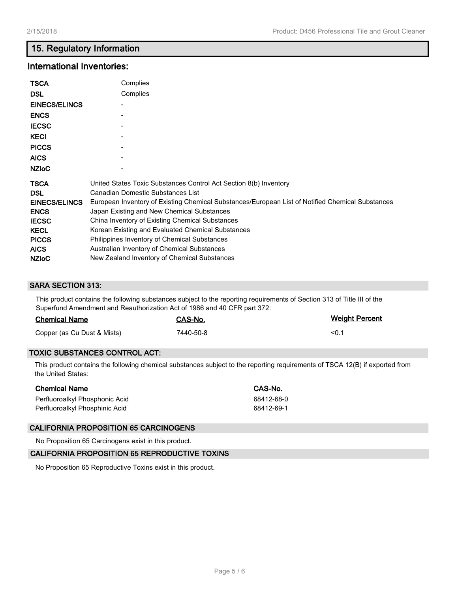# **15. Regulatory Information**

# **International Inventories:**

| <b>TSCA</b><br><b>DSL</b><br><b>EINECS/ELINCS</b><br><b>ENCS</b><br><b>IECSC</b><br><b>KECI</b><br><b>PICCS</b><br><b>AICS</b><br><b>NZIOC</b> | Complies<br>Complies                                                                             |
|------------------------------------------------------------------------------------------------------------------------------------------------|--------------------------------------------------------------------------------------------------|
| <b>TSCA</b>                                                                                                                                    | United States Toxic Substances Control Act Section 8(b) Inventory                                |
| <b>DSL</b>                                                                                                                                     | Canadian Domestic Substances List                                                                |
| <b>EINECS/ELINCS</b>                                                                                                                           | European Inventory of Existing Chemical Substances/European List of Notified Chemical Substances |
| <b>ENCS</b>                                                                                                                                    | Japan Existing and New Chemical Substances                                                       |
| <b>IECSC</b>                                                                                                                                   | China Inventory of Existing Chemical Substances                                                  |
| <b>KECL</b>                                                                                                                                    | Korean Existing and Evaluated Chemical Substances                                                |
| <b>PICCS</b>                                                                                                                                   | Philippines Inventory of Chemical Substances                                                     |
| <b>AICS</b>                                                                                                                                    | Australian Inventory of Chemical Substances                                                      |
| <b>NZIOC</b>                                                                                                                                   | New Zealand Inventory of Chemical Substances                                                     |

# **SARA SECTION 313:**

This product contains the following substances subject to the reporting requirements of Section 313 of Title III of the Superfund Amendment and Reauthorization Act of 1986 and 40 CFR part 372:

| <b>Chemical Name</b>        | CAS-No.   | <b>Weight Percent</b> |
|-----------------------------|-----------|-----------------------|
| Copper (as Cu Dust & Mists) | 7440-50-8 | $\leq 0.1$            |

## **TOXIC SUBSTANCES CONTROL ACT:**

This product contains the following chemical substances subject to the reporting requirements of TSCA 12(B) if exported from the United States:

| <b>Chemical Name</b>           | CAS-No.    |
|--------------------------------|------------|
| Perfluoroalkyl Phosphonic Acid | 68412-68-0 |
| Perfluoroalkyl Phosphinic Acid | 68412-69-1 |

## **CALIFORNIA PROPOSITION 65 CARCINOGENS**

No Proposition 65 Carcinogens exist in this product.

#### **CALIFORNIA PROPOSITION 65 REPRODUCTIVE TOXINS**

No Proposition 65 Reproductive Toxins exist in this product.